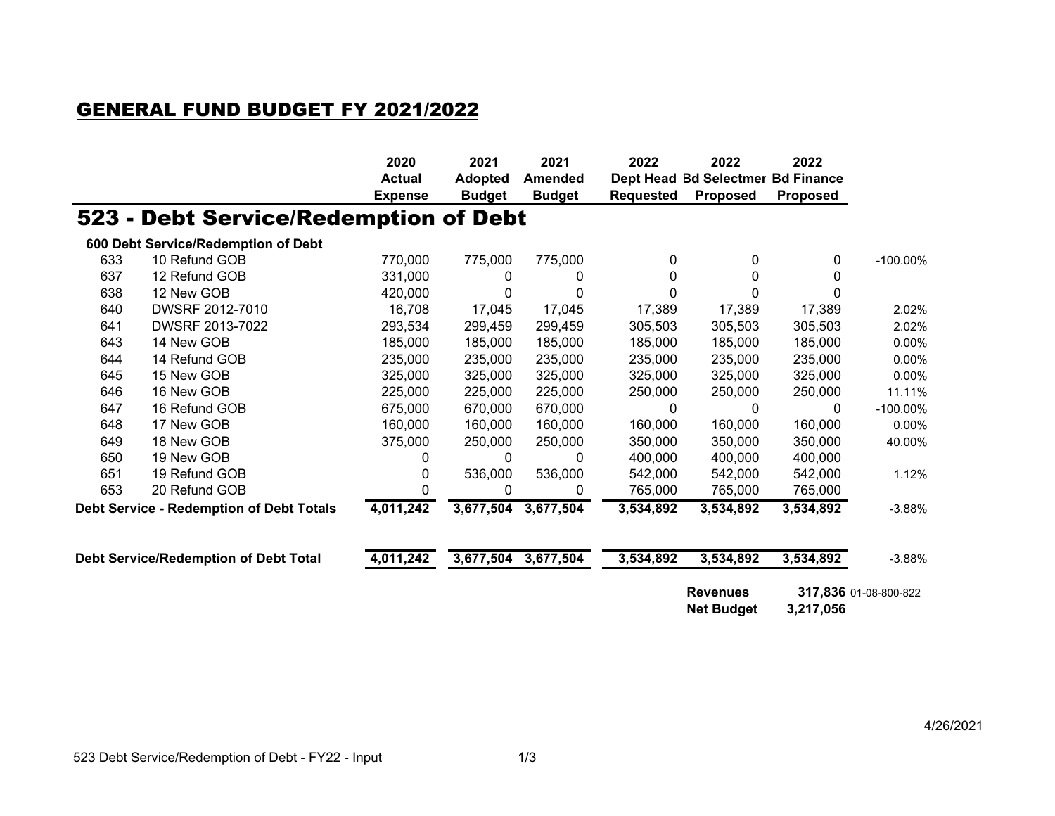## GENERAL FUND BUDGET FY 2021/2022

|                                       |                                                 | 2020<br><b>Actual</b><br><b>Expense</b> | 2021<br><b>Adopted</b><br><b>Budget</b> | 2021<br><b>Amended</b><br><b>Budget</b> | 2022<br><b>Dept Head</b><br><b>Requested</b> | 2022<br><b>Bd Selectmer Bd Finance</b><br><b>Proposed</b> | 2022<br><b>Proposed</b> |                       |
|---------------------------------------|-------------------------------------------------|-----------------------------------------|-----------------------------------------|-----------------------------------------|----------------------------------------------|-----------------------------------------------------------|-------------------------|-----------------------|
|                                       | 523 - Debt Service/Redemption of Debt           |                                         |                                         |                                         |                                              |                                                           |                         |                       |
|                                       | 600 Debt Service/Redemption of Debt             |                                         |                                         |                                         |                                              |                                                           |                         |                       |
| 633                                   | 10 Refund GOB                                   | 770,000                                 | 775,000                                 | 775,000                                 | 0                                            | 0                                                         | 0                       | $-100.00\%$           |
| 637                                   | 12 Refund GOB                                   | 331,000                                 | 0                                       | 0                                       | 0                                            | 0                                                         | 0                       |                       |
| 638                                   | 12 New GOB                                      | 420,000                                 | 0                                       | $\Omega$                                | 0                                            | $\Omega$                                                  | O                       |                       |
| 640                                   | DWSRF 2012-7010                                 | 16,708                                  | 17,045                                  | 17,045                                  | 17,389                                       | 17,389                                                    | 17,389                  | 2.02%                 |
| 641                                   | DWSRF 2013-7022                                 | 293,534                                 | 299,459                                 | 299,459                                 | 305,503                                      | 305,503                                                   | 305,503                 | 2.02%                 |
| 643                                   | 14 New GOB                                      | 185,000                                 | 185,000                                 | 185,000                                 | 185,000                                      | 185,000                                                   | 185,000                 | 0.00%                 |
| 644                                   | 14 Refund GOB                                   | 235,000                                 | 235,000                                 | 235,000                                 | 235,000                                      | 235,000                                                   | 235,000                 | 0.00%                 |
| 645                                   | 15 New GOB                                      | 325,000                                 | 325,000                                 | 325,000                                 | 325,000                                      | 325,000                                                   | 325,000                 | 0.00%                 |
| 646                                   | 16 New GOB                                      | 225,000                                 | 225,000                                 | 225,000                                 | 250,000                                      | 250,000                                                   | 250,000                 | 11.11%                |
| 647                                   | 16 Refund GOB                                   | 675,000                                 | 670,000                                 | 670,000                                 | 0                                            | 0                                                         | 0                       | $-100.00\%$           |
| 648                                   | 17 New GOB                                      | 160,000                                 | 160,000                                 | 160,000                                 | 160,000                                      | 160,000                                                   | 160,000                 | 0.00%                 |
| 649                                   | 18 New GOB                                      | 375,000                                 | 250,000                                 | 250,000                                 | 350,000                                      | 350,000                                                   | 350,000                 | 40.00%                |
| 650                                   | 19 New GOB                                      | 0                                       | 0                                       | 0                                       | 400,000                                      | 400,000                                                   | 400,000                 |                       |
| 651                                   | 19 Refund GOB                                   | 0                                       | 536,000                                 | 536,000                                 | 542,000                                      | 542,000                                                   | 542,000                 | 1.12%                 |
| 653                                   | 20 Refund GOB                                   | 0                                       | 0                                       | 0                                       | 765,000                                      | 765,000                                                   | 765,000                 |                       |
|                                       | <b>Debt Service - Redemption of Debt Totals</b> | 4,011,242                               | 3,677,504                               | 3,677,504                               | 3,534,892                                    | 3,534,892                                                 | 3,534,892               | $-3.88%$              |
| Debt Service/Redemption of Debt Total |                                                 | 4,011,242                               |                                         | 3,677,504 3,677,504                     | 3,534,892                                    | 3,534,892                                                 | 3,534,892               | $-3.88%$              |
|                                       |                                                 |                                         |                                         |                                         |                                              | <b>Revenues</b><br><b>Net Budget</b>                      | 3,217,056               | 317,836 01-08-800-822 |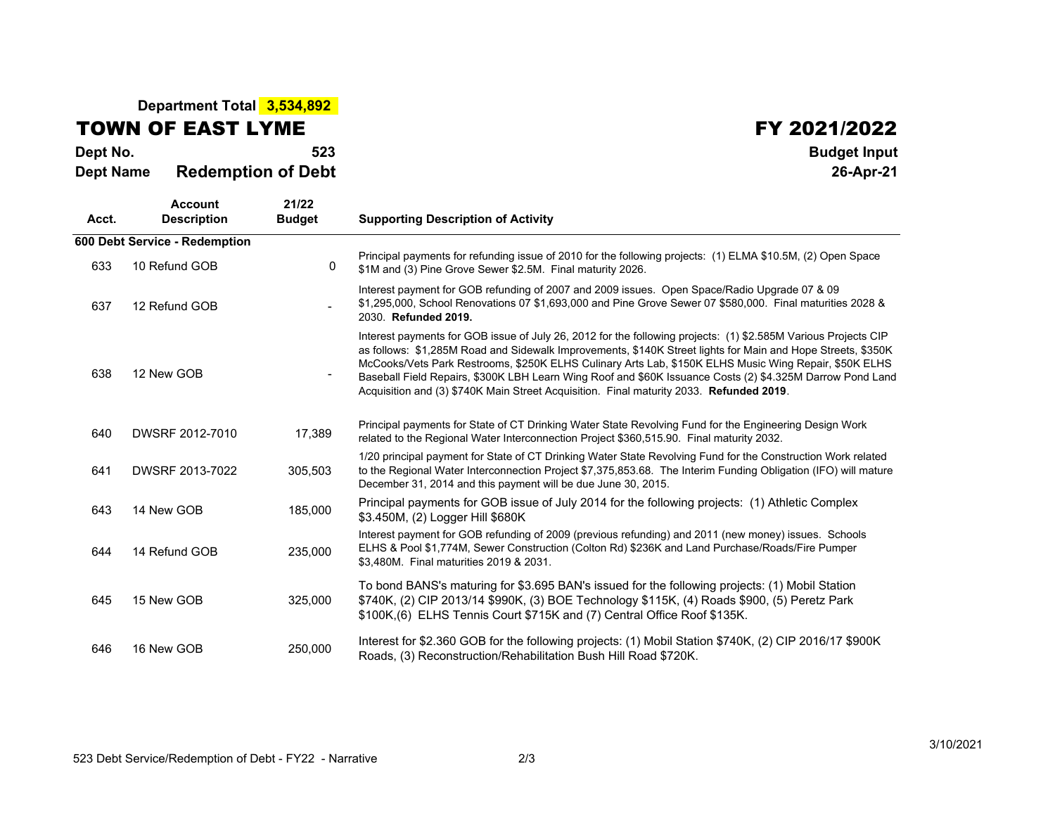## **Department Total 3,534,892**

## TOWN OF EAST LYME

**Dept No. <sup>523</sup> Budget Input Dept NameRedemption of Debt 26-Apr-21**

## **FY 2021/2022**<br>Budget Input

| Acct. | <b>Account</b><br><b>Description</b> | 21/22<br><b>Budget</b> | <b>Supporting Description of Activity</b>                                                                                                                                                                                                                                                                                                                                                                                                                                                                                                      |  |  |  |  |
|-------|--------------------------------------|------------------------|------------------------------------------------------------------------------------------------------------------------------------------------------------------------------------------------------------------------------------------------------------------------------------------------------------------------------------------------------------------------------------------------------------------------------------------------------------------------------------------------------------------------------------------------|--|--|--|--|
|       | 600 Debt Service - Redemption        |                        |                                                                                                                                                                                                                                                                                                                                                                                                                                                                                                                                                |  |  |  |  |
| 633   | 10 Refund GOB                        | 0                      | Principal payments for refunding issue of 2010 for the following projects: (1) ELMA \$10.5M, (2) Open Space<br>\$1M and (3) Pine Grove Sewer \$2.5M. Final maturity 2026.                                                                                                                                                                                                                                                                                                                                                                      |  |  |  |  |
| 637   | 12 Refund GOB                        |                        | Interest payment for GOB refunding of 2007 and 2009 issues. Open Space/Radio Upgrade 07 & 09<br>\$1,295,000, School Renovations 07 \$1,693,000 and Pine Grove Sewer 07 \$580,000. Final maturities 2028 &<br>2030. Refunded 2019.                                                                                                                                                                                                                                                                                                              |  |  |  |  |
| 638   | 12 New GOB                           |                        | Interest payments for GOB issue of July 26, 2012 for the following projects: (1) \$2.585M Various Projects CIP<br>as follows: \$1,285M Road and Sidewalk Improvements, \$140K Street lights for Main and Hope Streets, \$350K<br>McCooks/Vets Park Restrooms, \$250K ELHS Culinary Arts Lab, \$150K ELHS Music Wing Repair, \$50K ELHS<br>Baseball Field Repairs, \$300K LBH Learn Wing Roof and \$60K Issuance Costs (2) \$4.325M Darrow Pond Land<br>Acquisition and (3) \$740K Main Street Acquisition. Final maturity 2033. Refunded 2019. |  |  |  |  |
| 640   | DWSRF 2012-7010                      | 17,389                 | Principal payments for State of CT Drinking Water State Revolving Fund for the Engineering Design Work<br>related to the Regional Water Interconnection Project \$360,515.90. Final maturity 2032.                                                                                                                                                                                                                                                                                                                                             |  |  |  |  |
| 641   | DWSRF 2013-7022                      | 305,503                | 1/20 principal payment for State of CT Drinking Water State Revolving Fund for the Construction Work related<br>to the Regional Water Interconnection Project \$7,375,853.68. The Interim Funding Obligation (IFO) will mature<br>December 31, 2014 and this payment will be due June 30, 2015.                                                                                                                                                                                                                                                |  |  |  |  |
| 643   | 14 New GOB                           | 185,000                | Principal payments for GOB issue of July 2014 for the following projects: (1) Athletic Complex<br>\$3.450M, (2) Logger Hill \$680K                                                                                                                                                                                                                                                                                                                                                                                                             |  |  |  |  |
| 644   | 14 Refund GOB                        | 235,000                | Interest payment for GOB refunding of 2009 (previous refunding) and 2011 (new money) issues. Schools<br>ELHS & Pool \$1,774M, Sewer Construction (Colton Rd) \$236K and Land Purchase/Roads/Fire Pumper<br>\$3,480M. Final maturities 2019 & 2031.                                                                                                                                                                                                                                                                                             |  |  |  |  |
| 645   | 15 New GOB                           | 325,000                | To bond BANS's maturing for \$3.695 BAN's issued for the following projects: (1) Mobil Station<br>\$740K, (2) CIP 2013/14 \$990K, (3) BOE Technology \$115K, (4) Roads \$900, (5) Peretz Park<br>\$100K, (6) ELHS Tennis Court \$715K and (7) Central Office Roof \$135K.                                                                                                                                                                                                                                                                      |  |  |  |  |
| 646   | 16 New GOB                           | 250,000                | Interest for \$2.360 GOB for the following projects: (1) Mobil Station \$740K, (2) CIP 2016/17 \$900K<br>Roads, (3) Reconstruction/Rehabilitation Bush Hill Road \$720K.                                                                                                                                                                                                                                                                                                                                                                       |  |  |  |  |